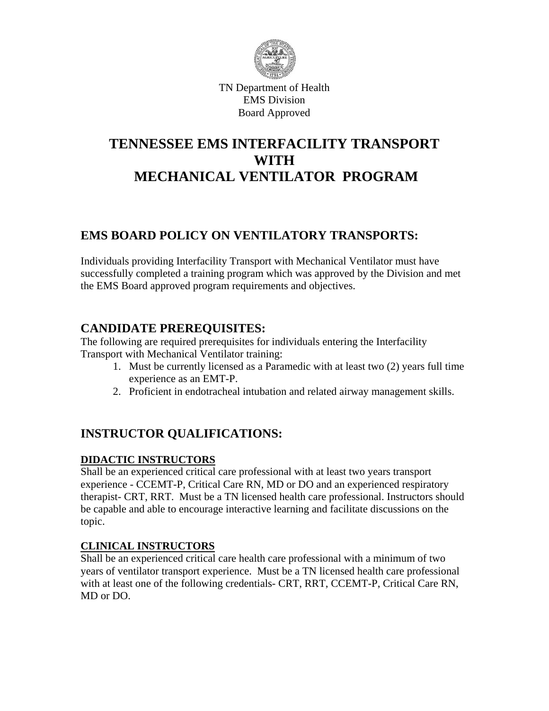

TN Department of Health EMS Division Board Approved

# **TENNESSEE EMS INTERFACILITY TRANSPORT WITH MECHANICAL VENTILATOR PROGRAM**

# **EMS BOARD POLICY ON VENTILATORY TRANSPORTS:**

Individuals providing Interfacility Transport with Mechanical Ventilator must have successfully completed a training program which was approved by the Division and met the EMS Board approved program requirements and objectives.

# **CANDIDATE PREREQUISITES:**

The following are required prerequisites for individuals entering the Interfacility Transport with Mechanical Ventilator training:

- 1. Must be currently licensed as a Paramedic with at least two (2) years full time experience as an EMT-P.
- 2. Proficient in endotracheal intubation and related airway management skills.

# **INSTRUCTOR QUALIFICATIONS:**

## **DIDACTIC INSTRUCTORS**

Shall be an experienced critical care professional with at least two years transport experience - CCEMT-P, Critical Care RN, MD or DO and an experienced respiratory therapist- CRT, RRT. Must be a TN licensed health care professional. Instructors should be capable and able to encourage interactive learning and facilitate discussions on the topic.

## **CLINICAL INSTRUCTORS**

Shall be an experienced critical care health care professional with a minimum of two years of ventilator transport experience. Must be a TN licensed health care professional with at least one of the following credentials- CRT, RRT, CCEMT-P, Critical Care RN, MD or DO.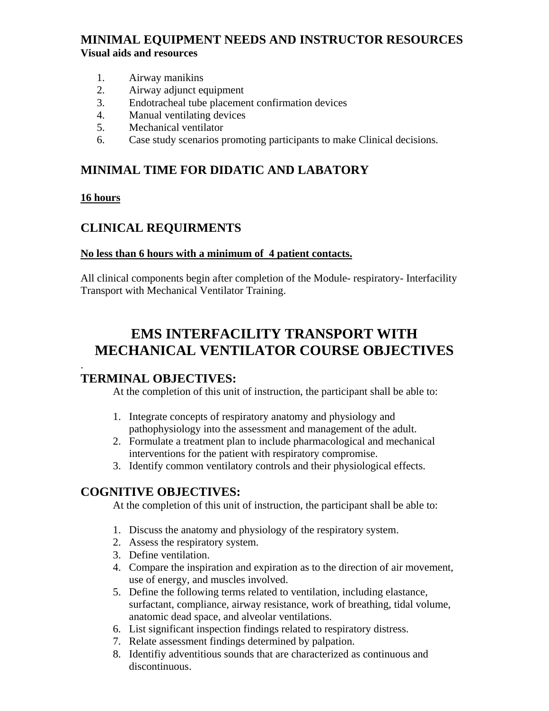# **MINIMAL EQUIPMENT NEEDS AND INSTRUCTOR RESOURCES Visual aids and resources**

- 1. Airway manikins
- 2. Airway adjunct equipment
- 3. Endotracheal tube placement confirmation devices
- 4. Manual ventilating devices
- 5. Mechanical ventilator
- 6. Case study scenarios promoting participants to make Clinical decisions.

# **MINIMAL TIME FOR DIDATIC AND LABATORY**

#### **16 hours**

# **CLINICAL REQUIRMENTS**

#### **No less than 6 hours with a minimum of 4 patient contacts.**

All clinical components begin after completion of the Module- respiratory- Interfacility Transport with Mechanical Ventilator Training.

# **EMS INTERFACILITY TRANSPORT WITH MECHANICAL VENTILATOR COURSE OBJECTIVES**

#### . **TERMINAL OBJECTIVES:**

At the completion of this unit of instruction, the participant shall be able to:

- 1. Integrate concepts of respiratory anatomy and physiology and pathophysiology into the assessment and management of the adult.
- 2. Formulate a treatment plan to include pharmacological and mechanical interventions for the patient with respiratory compromise.
- 3. Identify common ventilatory controls and their physiological effects.

## **COGNITIVE OBJECTIVES:**

At the completion of this unit of instruction, the participant shall be able to:

- 1. Discuss the anatomy and physiology of the respiratory system.
- 2. Assess the respiratory system.
- 3. Define ventilation.
- 4. Compare the inspiration and expiration as to the direction of air movement, use of energy, and muscles involved.
- 5. Define the following terms related to ventilation, including elastance, surfactant, compliance, airway resistance, work of breathing, tidal volume, anatomic dead space, and alveolar ventilations.
- 6. List significant inspection findings related to respiratory distress.
- 7. Relate assessment findings determined by palpation.
- 8. Identifiy adventitious sounds that are characterized as continuous and discontinuous.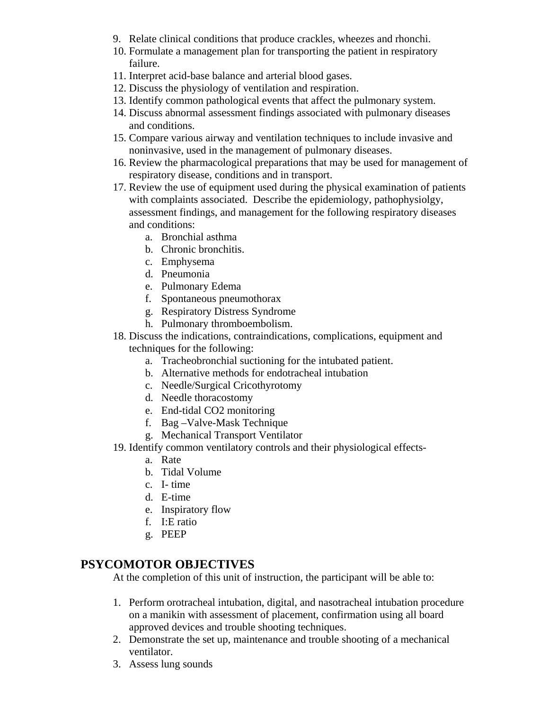- 9. Relate clinical conditions that produce crackles, wheezes and rhonchi.
- 10. Formulate a management plan for transporting the patient in respiratory failure.
- 11. Interpret acid-base balance and arterial blood gases.
- 12. Discuss the physiology of ventilation and respiration.
- 13. Identify common pathological events that affect the pulmonary system.
- 14. Discuss abnormal assessment findings associated with pulmonary diseases and conditions.
- 15. Compare various airway and ventilation techniques to include invasive and noninvasive, used in the management of pulmonary diseases.
- 16. Review the pharmacological preparations that may be used for management of respiratory disease, conditions and in transport.
- 17. Review the use of equipment used during the physical examination of patients with complaints associated. Describe the epidemiology, pathophysiolgy, assessment findings, and management for the following respiratory diseases and conditions:
	- a. Bronchial asthma
	- b. Chronic bronchitis.
	- c. Emphysema
	- d. Pneumonia
	- e. Pulmonary Edema
	- f. Spontaneous pneumothorax
	- g. Respiratory Distress Syndrome
	- h. Pulmonary thromboembolism.
- 18. Discuss the indications, contraindications, complications, equipment and techniques for the following:
	- a. Tracheobronchial suctioning for the intubated patient.
	- b. Alternative methods for endotracheal intubation
	- c. Needle/Surgical Cricothyrotomy
	- d. Needle thoracostomy
	- e. End-tidal CO2 monitoring
	- f. Bag –Valve-Mask Technique
	- g. Mechanical Transport Ventilator
- 19. Identify common ventilatory controls and their physiological effects
	- a. Rate
	- b. Tidal Volume
	- c. I- time
	- d. E-time
	- e. Inspiratory flow
	- f. I:E ratio
	- g. PEEP

# **PSYCOMOTOR OBJECTIVES**

At the completion of this unit of instruction, the participant will be able to:

- 1. Perform orotracheal intubation, digital, and nasotracheal intubation procedure on a manikin with assessment of placement, confirmation using all board approved devices and trouble shooting techniques.
- 2. Demonstrate the set up, maintenance and trouble shooting of a mechanical ventilator.
- 3. Assess lung sounds